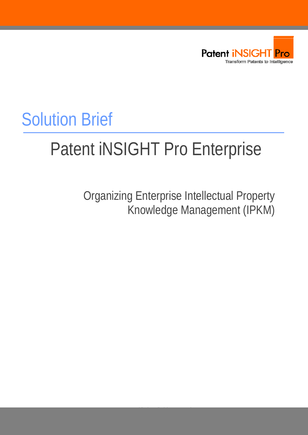

## Solution Brief

# Patent iNSIGHT Pro Enterprise

Organizing Enterprise Intellectual Property Knowledge Management (IPKM)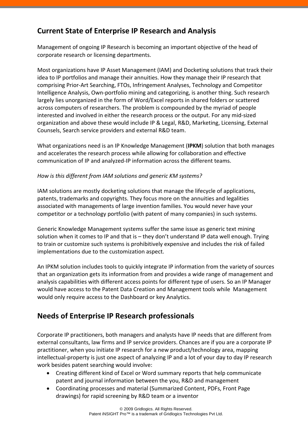## **Current State of Enterprise IP Research and Analysis**

Management of ongoing IP Research is becoming an important objective of the head of corporate research or licensing departments.

Most organizations have IP Asset Management (IAM) and Docketing solutions that track their idea to IP portfolios and manage their annuities. How they manage their IP research that comprising Prior‐Art Searching, FTOs, Infringement Analyses, Technology and Competitor Intelligence Analysis, Own‐portfolio mining and categorizing, is another thing. Such research largely lies unorganized in the form of Word/Excel reports in shared folders or scattered across computers of researchers. The problem is compounded by the myriad of people interested and involved in either the research process or the output. For any mid‐sized organization and above these would include IP & Legal, R&D, Marketing, Licensing, External Counsels, Search service providers and external R&D team.

What organizations need is an IP Knowledge Management (**IPKM**) solution that both manages and accelerates the research process while allowing for collaboration and effective communication of IP and analyzed‐IP information across the different teams.

#### *How is this different from IAM solutions and generic KM systems?*

IAM solutions are mostly docketing solutions that manage the lifecycle of applications, patents, trademarks and copyrights. They focus more on the annuities and legalities associated with managements of large invention families. You would never have your competitor or a technology portfolio (with patent of many companies) in such systems.

Generic Knowledge Management systems suffer the same issue as generic text mining solution when it comes to IP and that is – they don't understand IP data well enough. Trying to train or customize such systems is prohibitively expensive and includes the risk of failed implementations due to the customization aspect.

An IPKM solution includes tools to quickly integrate IP information from the variety of sources that an organization gets its information from and provides a wide range of management and analysis capabilities with different access points for different type of users. So an IP Manager would have access to the Patent Data Creation and Management tools while Management would only require access to the Dashboard or key Analytics.

### **Needs of Enterprise IP Research professionals**

Corporate IP practitioners, both managers and analysts have IP needs that are different from external consultants, law firms and IP service providers. Chances are if you are a corporate IP practitioner, when you initiate IP research for a new product/technology area, mapping intellectual‐property is just one aspect of analyzing IP and a lot of your day to day IP research work besides patent searching would involve:

- Creating different kind of Excel or Word summary reports that help communicate patent and journal information between the you, R&D and management
- Coordinating processes and material (Summarized Content, PDFs, Front Page drawings) for rapid screening by R&D team or a inventor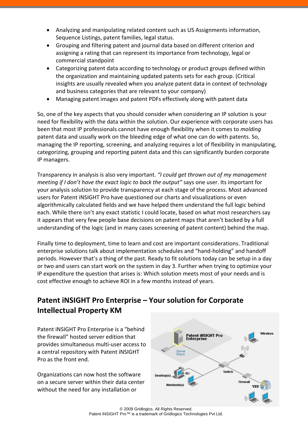- Analyzing and manipulating related content such as US Assignments information, Sequence Listings, patent families, legal status.
- Grouping and filtering patent and journal data based on different criterion and assigning a rating that can represent its importance from technology, legal or commercial standpoint
- Categorizing patent data according to technology or product groups defined within the organization and maintaining updated patents sets for each group. (Critical insights are usually revealed when you analyze patent data in context of technology and business categories that are relevant to your company)
- Managing patent images and patent PDFs effectively along with patent data

So, one of the key aspects that you should consider when considering an IP solution is your need for flexibility with the data within the solution. Our experience with corporate users has been that most IP professionals cannot have enough flexibility when it comes to *molding* patent data and usually work on the bleeding edge of what one can do with patents. So, managing the IP reporting, screening, and analyzing requires a lot of flexibility in manipulating, categorizing, grouping and reporting patent data and this can significantly burden corporate IP managers.

Transparency in analysis is also very important. *"I could get thrown out of my management meeting if I don't have the exact logic to back the output"* says one user. Its important for your analysis solution to provide transparency at each stage of the process. Most advanced users for Patent iNSIGHT Pro have questioned our charts and visualizations or even algorithmically calculated fields and we have helped them understand the full logic behind each. While there isn't any exact statistic I could locate, based on what most researchers say it appears that very few people base decisions on patent maps that aren't backed by a full understanding of the logic (and in many cases screening of patent content) behind the map.

Finally time to deployment, time to learn and cost are important considerations. Traditional enterprise solutions talk about implementation schedules and "hand‐holding" and handoff periods. However that's a thing of the past. Ready to fit solutions today can be setup in a day or two and users can start work on the system in day 3. Further when trying to optimize your IP expenditure the question that arises is: Which solution meets most of your needs and is cost effective enough to achieve ROI in a few months instead of years.

## **Patent iNSIGHT Pro Enterprise – Your solution for Corporate Intellectual Property KM**

Patent iNSIGHT Pro Enterprise is a "behind the firewall" hosted server edition that provides simultaneous multi‐user access to a central repository with Patent iNSIGHT Pro as the front end.

Organizations can now host the software on a secure server within their data center without the need for any installation or

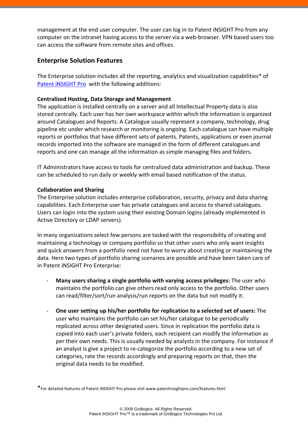management at the end user computer. The user can log in to Patent iNSIGHT Pro from any computer on the intranet having access to the server via a web‐browser. VPN based users too can access the software from remote sites and offices.

#### **Enterprise Solution Features**

The Enterprise solution includes all the reporting, analytics and visualization capabilities\* of Patent iNSIGHT Pro with the following additions:

#### **Centralized Hosting, Data Storage and Management**

The application is installed centrally on a server and all Intellectual Property data is also stored centrally. Each user has her own workspace within which the information is organized around Catalogues and Reports. A Catalogue usually represent a company, technology, drug pipeline etc under which research or monitoring is ongoing. Each catalogue can have multiple reports or portfolios that have different sets of patents. Patents, applications or even journal records imported into the software are managed in the form of different catalogues and reports and one can manage all the information as simple managing files and folders.

IT Administrators have access to tools for centralized data administration and backup. These can be scheduled to run daily or weekly with email based notification of the status.

#### **Collaboration and Sharing**

The Enterprise solution includes enterprise collaboration, security, privacy and data sharing capabilities. Each Enterprise user has private catalogues and access to shared catalogues. Users can login into the system using their existing Domain logins (already implemented in Active Directory or LDAP servers).

In many organizations select few persons are tasked with the responsibility of creating and maintaining a technology or company portfolio so that other users who only want insights and quick answers from a portfolio need not have to worry about creating or maintaining the data. Here two types of portfolio sharing scenarios are possible and have been taken care of in Patent iNSIGHT Pro Enterprise:

- ‐ **Many users sharing a single portfolio with varying access privileges:** The user who maintains the portfolio can give others read only access to the portfolio. Other users can read/filter/sort/run analysis/run reports on the data but not modify it.
- ‐ **One user setting up his/her portfolio for replication to a selected set of users:** The user who maintains the portfolio can set his/her catalogue to be periodically replicated across other designated users. Since in replication the portfolio data is copied into each user's private folders, each recipient can modify the information as per their own needs. This is usually needed by analysts in the company. For instance if an analyst is give a project to re‐categorize the portfolio according to a new set of categories, rate the records accordingly and preparing reports on that, then the original data needs to be modified.

\*For detailed features of Patent iNSIGHT Pro please visit www.patentinsightpro.com/features.html